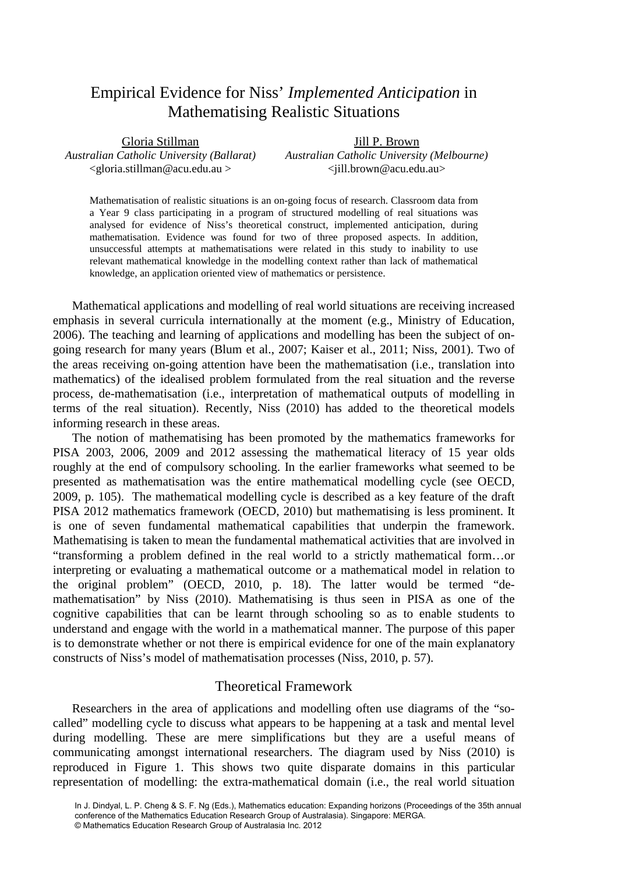# Empirical Evidence for Niss' *Implemented Anticipation* in Mathematising Realistic Situations

| Gloria Stillman                           | Jill P. Brown                              |
|-------------------------------------------|--------------------------------------------|
| Australian Catholic University (Ballarat) | Australian Catholic University (Melbourne) |
| $\leq$ gloria.stillman@acu.edu.au >       | $\langle$ jill.brown@acu.edu.au>           |

Mathematisation of realistic situations is an on-going focus of research. Classroom data from a Year 9 class participating in a program of structured modelling of real situations was analysed for evidence of Niss's theoretical construct, implemented anticipation, during mathematisation. Evidence was found for two of three proposed aspects. In addition, unsuccessful attempts at mathematisations were related in this study to inability to use relevant mathematical knowledge in the modelling context rather than lack of mathematical knowledge, an application oriented view of mathematics or persistence.

Mathematical applications and modelling of real world situations are receiving increased emphasis in several curricula internationally at the moment (e.g., Ministry of Education, 2006). The teaching and learning of applications and modelling has been the subject of ongoing research for many years (Blum et al., 2007; Kaiser et al., 2011; Niss, 2001). Two of the areas receiving on-going attention have been the mathematisation (i.e., translation into mathematics) of the idealised problem formulated from the real situation and the reverse process, de-mathematisation (i.e., interpretation of mathematical outputs of modelling in terms of the real situation). Recently, Niss (2010) has added to the theoretical models informing research in these areas.

The notion of mathematising has been promoted by the mathematics frameworks for PISA 2003, 2006, 2009 and 2012 assessing the mathematical literacy of 15 year olds roughly at the end of compulsory schooling. In the earlier frameworks what seemed to be presented as mathematisation was the entire mathematical modelling cycle (see OECD, 2009, p. 105). The mathematical modelling cycle is described as a key feature of the draft PISA 2012 mathematics framework (OECD, 2010) but mathematising is less prominent. It is one of seven fundamental mathematical capabilities that underpin the framework. Mathematising is taken to mean the fundamental mathematical activities that are involved in "transforming a problem defined in the real world to a strictly mathematical form…or interpreting or evaluating a mathematical outcome or a mathematical model in relation to the original problem" (OECD, 2010, p. 18). The latter would be termed "demathematisation" by Niss (2010). Mathematising is thus seen in PISA as one of the cognitive capabilities that can be learnt through schooling so as to enable students to understand and engage with the world in a mathematical manner. The purpose of this paper is to demonstrate whether or not there is empirical evidence for one of the main explanatory constructs of Niss's model of mathematisation processes (Niss, 2010, p. 57).

# Theoretical Framework

Researchers in the area of applications and modelling often use diagrams of the "socalled" modelling cycle to discuss what appears to be happening at a task and mental level during modelling. These are mere simplifications but they are a useful means of communicating amongst international researchers. The diagram used by Niss (2010) is reproduced in Figure 1. This shows two quite disparate domains in this particular representation of modelling: the extra-mathematical domain (i.e., the real world situation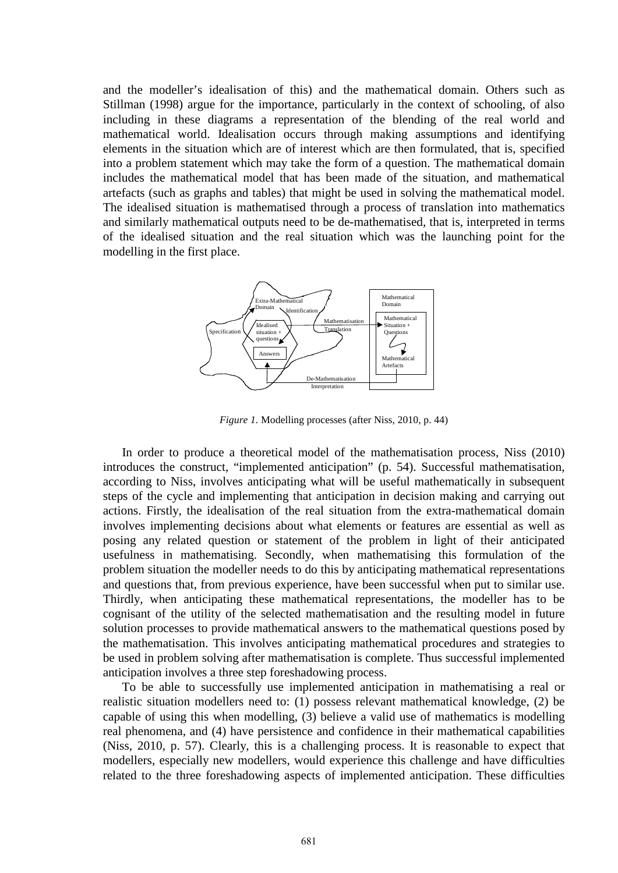and the modeller's idealisation of this) and the mathematical domain. Others such as Stillman (1998) argue for the importance, particularly in the context of schooling, of also including in these diagrams a representation of the blending of the real world and mathematical world. Idealisation occurs through making assumptions and identifying elements in the situation which are of interest which are then formulated, that is, specified into a problem statement which may take the form of a question. The mathematical domain includes the mathematical model that has been made of the situation, and mathematical artefacts (such as graphs and tables) that might be used in solving the mathematical model. The idealised situation is mathematised through a process of translation into mathematics and similarly mathematical outputs need to be de-mathematised, that is, interpreted in terms of the idealised situation and the real situation which was the launching point for the modelling in the first place.



*Figure 1.* Modelling processes (after Niss, 2010, p. 44)

In order to produce a theoretical model of the mathematisation process, Niss (2010) introduces the construct, "implemented anticipation" (p. 54). Successful mathematisation, according to Niss, involves anticipating what will be useful mathematically in subsequent steps of the cycle and implementing that anticipation in decision making and carrying out actions. Firstly, the idealisation of the real situation from the extra-mathematical domain involves implementing decisions about what elements or features are essential as well as posing any related question or statement of the problem in light of their anticipated usefulness in mathematising. Secondly, when mathematising this formulation of the problem situation the modeller needs to do this by anticipating mathematical representations and questions that, from previous experience, have been successful when put to similar use. Thirdly, when anticipating these mathematical representations, the modeller has to be cognisant of the utility of the selected mathematisation and the resulting model in future solution processes to provide mathematical answers to the mathematical questions posed by the mathematisation. This involves anticipating mathematical procedures and strategies to be used in problem solving after mathematisation is complete. Thus successful implemented anticipation involves a three step foreshadowing process.

To be able to successfully use implemented anticipation in mathematising a real or realistic situation modellers need to: (1) possess relevant mathematical knowledge, (2) be capable of using this when modelling, (3) believe a valid use of mathematics is modelling real phenomena, and (4) have persistence and confidence in their mathematical capabilities (Niss, 2010, p. 57). Clearly, this is a challenging process. It is reasonable to expect that modellers, especially new modellers, would experience this challenge and have difficulties related to the three foreshadowing aspects of implemented anticipation. These difficulties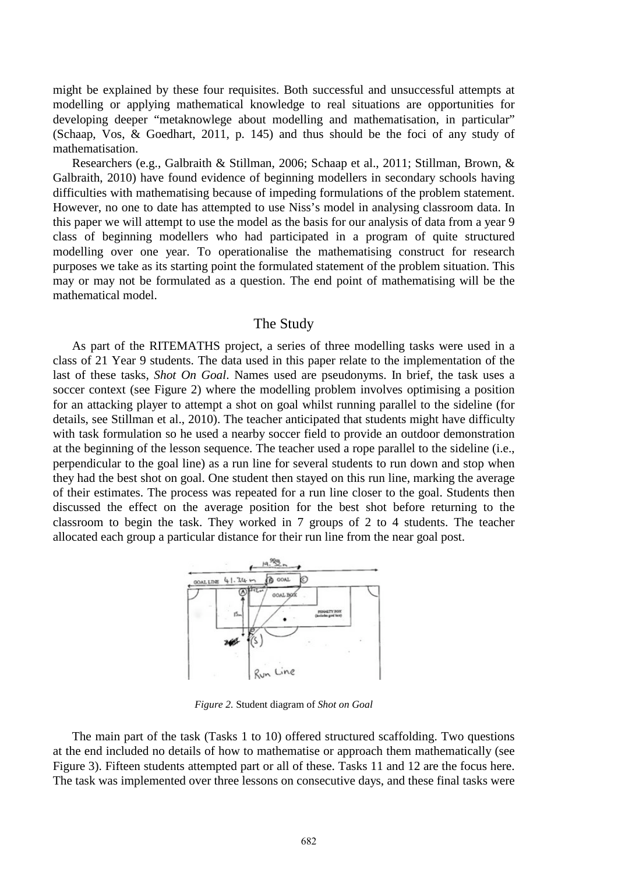might be explained by these four requisites. Both successful and unsuccessful attempts at modelling or applying mathematical knowledge to real situations are opportunities for developing deeper "metaknowlege about modelling and mathematisation, in particular" (Schaap, Vos, & Goedhart, 2011, p. 145) and thus should be the foci of any study of mathematisation.

Researchers (e.g., Galbraith & Stillman, 2006; Schaap et al., 2011; Stillman, Brown, & Galbraith, 2010) have found evidence of beginning modellers in secondary schools having difficulties with mathematising because of impeding formulations of the problem statement. However, no one to date has attempted to use Niss's model in analysing classroom data. In this paper we will attempt to use the model as the basis for our analysis of data from a year 9 class of beginning modellers who had participated in a program of quite structured modelling over one year. To operationalise the mathematising construct for research purposes we take as its starting point the formulated statement of the problem situation. This may or may not be formulated as a question. The end point of mathematising will be the mathematical model.

### The Study

As part of the RITEMATHS project, a series of three modelling tasks were used in a class of 21 Year 9 students. The data used in this paper relate to the implementation of the last of these tasks, *Shot On Goal*. Names used are pseudonyms. In brief, the task uses a soccer context (see Figure 2) where the modelling problem involves optimising a position for an attacking player to attempt a shot on goal whilst running parallel to the sideline (for details, see Stillman et al., 2010). The teacher anticipated that students might have difficulty with task formulation so he used a nearby soccer field to provide an outdoor demonstration at the beginning of the lesson sequence. The teacher used a rope parallel to the sideline (i.e., perpendicular to the goal line) as a run line for several students to run down and stop when they had the best shot on goal. One student then stayed on this run line, marking the average of their estimates. The process was repeated for a run line closer to the goal. Students then discussed the effect on the average position for the best shot before returning to the classroom to begin the task. They worked in 7 groups of 2 to 4 students. The teacher allocated each group a particular distance for their run line from the near goal post.



*Figure 2.* Student diagram of *Shot on Goal*

The main part of the task (Tasks 1 to 10) offered structured scaffolding. Two questions at the end included no details of how to mathematise or approach them mathematically (see Figure 3). Fifteen students attempted part or all of these. Tasks 11 and 12 are the focus here. The task was implemented over three lessons on consecutive days, and these final tasks were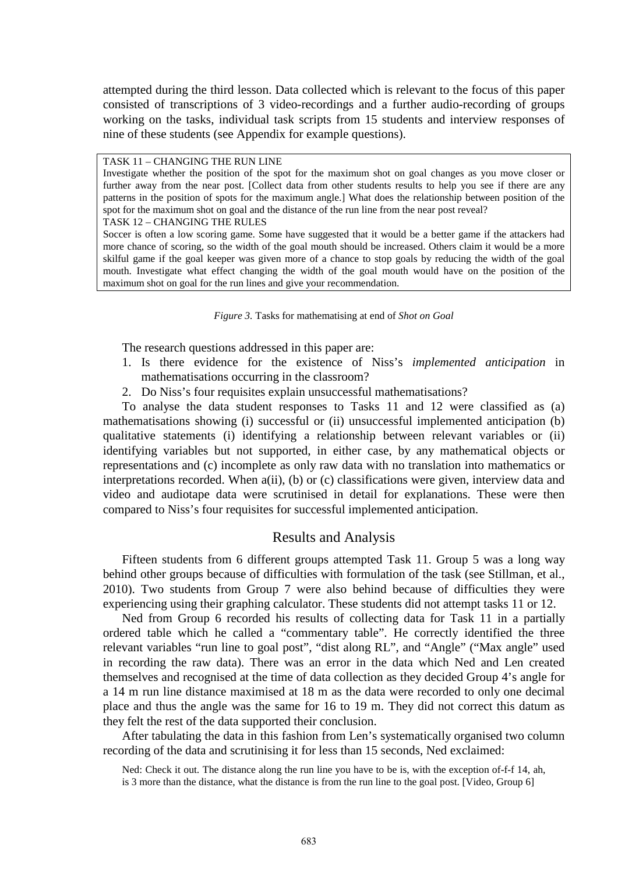attempted during the third lesson. Data collected which is relevant to the focus of this paper consisted of transcriptions of 3 video-recordings and a further audio-recording of groups working on the tasks, individual task scripts from 15 students and interview responses of nine of these students (see Appendix for example questions).

TASK 11 – CHANGING THE RUN LINE

Investigate whether the position of the spot for the maximum shot on goal changes as you move closer or further away from the near post. [Collect data from other students results to help you see if there are any patterns in the position of spots for the maximum angle.] What does the relationship between position of the spot for the maximum shot on goal and the distance of the run line from the near post reveal?

TASK 12 – CHANGING THE RULES

Soccer is often a low scoring game. Some have suggested that it would be a better game if the attackers had more chance of scoring, so the width of the goal mouth should be increased. Others claim it would be a more skilful game if the goal keeper was given more of a chance to stop goals by reducing the width of the goal mouth. Investigate what effect changing the width of the goal mouth would have on the position of the maximum shot on goal for the run lines and give your recommendation.

*Figure 3.* Tasks for mathematising at end of *Shot on Goal*

The research questions addressed in this paper are:

- 1. Is there evidence for the existence of Niss's *implemented anticipation* in mathematisations occurring in the classroom?
- 2. Do Niss's four requisites explain unsuccessful mathematisations?

To analyse the data student responses to Tasks 11 and 12 were classified as (a) mathematisations showing (i) successful or (ii) unsuccessful implemented anticipation (b) qualitative statements (i) identifying a relationship between relevant variables or (ii) identifying variables but not supported, in either case, by any mathematical objects or representations and (c) incomplete as only raw data with no translation into mathematics or interpretations recorded. When a(ii), (b) or (c) classifications were given, interview data and video and audiotape data were scrutinised in detail for explanations. These were then compared to Niss's four requisites for successful implemented anticipation.

## Results and Analysis

Fifteen students from 6 different groups attempted Task 11. Group 5 was a long way behind other groups because of difficulties with formulation of the task (see Stillman, et al., 2010). Two students from Group 7 were also behind because of difficulties they were experiencing using their graphing calculator. These students did not attempt tasks 11 or 12.

Ned from Group 6 recorded his results of collecting data for Task 11 in a partially ordered table which he called a "commentary table". He correctly identified the three relevant variables "run line to goal post", "dist along RL", and "Angle" ("Max angle" used in recording the raw data). There was an error in the data which Ned and Len created themselves and recognised at the time of data collection as they decided Group 4's angle for a 14 m run line distance maximised at 18 m as the data were recorded to only one decimal place and thus the angle was the same for 16 to 19 m. They did not correct this datum as they felt the rest of the data supported their conclusion.

After tabulating the data in this fashion from Len's systematically organised two column recording of the data and scrutinising it for less than 15 seconds, Ned exclaimed:

Ned: Check it out. The distance along the run line you have to be is, with the exception of-f-f 14, ah, is 3 more than the distance, what the distance is from the run line to the goal post. [Video, Group 6]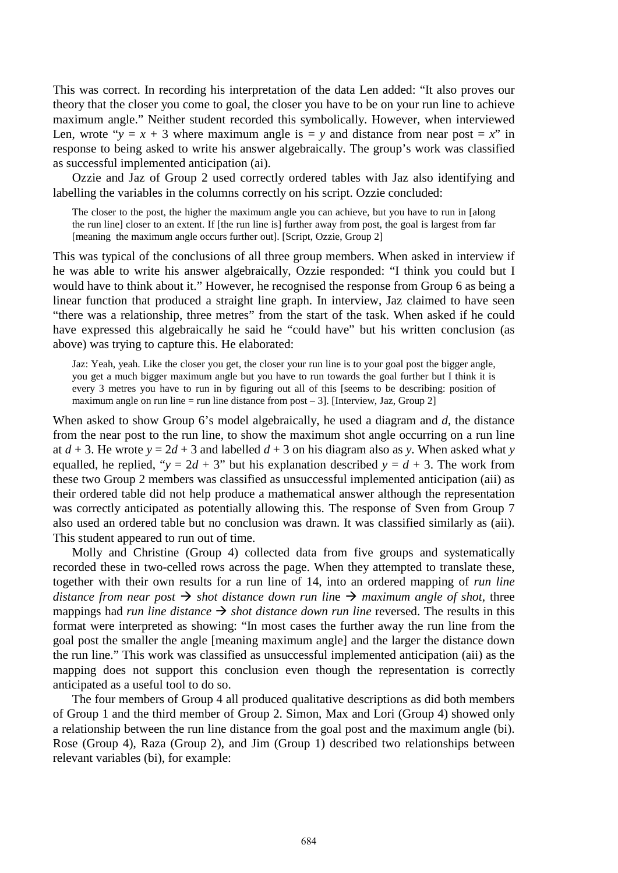This was correct. In recording his interpretation of the data Len added: "It also proves our theory that the closer you come to goal, the closer you have to be on your run line to achieve maximum angle." Neither student recorded this symbolically. However, when interviewed Len, wrote " $y = x + 3$  where maximum angle is  $y = y$  and distance from near post  $y = x$ " in response to being asked to write his answer algebraically. The group's work was classified as successful implemented anticipation (ai).

Ozzie and Jaz of Group 2 used correctly ordered tables with Jaz also identifying and labelling the variables in the columns correctly on his script. Ozzie concluded:

The closer to the post, the higher the maximum angle you can achieve, but you have to run in [along the run line] closer to an extent. If [the run line is] further away from post, the goal is largest from far [meaning the maximum angle occurs further out]. [Script, Ozzie, Group 2]

This was typical of the conclusions of all three group members. When asked in interview if he was able to write his answer algebraically, Ozzie responded: "I think you could but I would have to think about it." However, he recognised the response from Group 6 as being a linear function that produced a straight line graph. In interview, Jaz claimed to have seen "there was a relationship, three metres" from the start of the task. When asked if he could have expressed this algebraically he said he "could have" but his written conclusion (as above) was trying to capture this. He elaborated:

Jaz: Yeah, yeah. Like the closer you get, the closer your run line is to your goal post the bigger angle, you get a much bigger maximum angle but you have to run towards the goal further but I think it is every 3 metres you have to run in by figuring out all of this [seems to be describing: position of maximum angle on run line = run line distance from post  $-3$ ]. [Interview, Jaz, Group 2]

When asked to show Group 6's model algebraically, he used a diagram and *d*, the distance from the near post to the run line, to show the maximum shot angle occurring on a run line at  $d + 3$ . He wrote  $y = 2d + 3$  and labelled  $d + 3$  on his diagram also as *y*. When asked what *y* equalled, he replied, " $y = 2d + 3$ " but his explanation described  $y = d + 3$ . The work from these two Group 2 members was classified as unsuccessful implemented anticipation (aii) as their ordered table did not help produce a mathematical answer although the representation was correctly anticipated as potentially allowing this. The response of Sven from Group 7 also used an ordered table but no conclusion was drawn. It was classified similarly as (aii). This student appeared to run out of time.

Molly and Christine (Group 4) collected data from five groups and systematically recorded these in two-celled rows across the page. When they attempted to translate these, together with their own results for a run line of 14, into an ordered mapping of *run line distance from near post*  $\rightarrow$  *shot distance down run line*  $\rightarrow$  *maximum angle of shot, three* mappings had *run line distance*  $\rightarrow$  *shot distance down run line* reversed. The results in this format were interpreted as showing: "In most cases the further away the run line from the goal post the smaller the angle [meaning maximum angle] and the larger the distance down the run line." This work was classified as unsuccessful implemented anticipation (aii) as the mapping does not support this conclusion even though the representation is correctly anticipated as a useful tool to do so.

The four members of Group 4 all produced qualitative descriptions as did both members of Group 1 and the third member of Group 2. Simon, Max and Lori (Group 4) showed only a relationship between the run line distance from the goal post and the maximum angle (bi). Rose (Group 4), Raza (Group 2), and Jim (Group 1) described two relationships between relevant variables (bi), for example: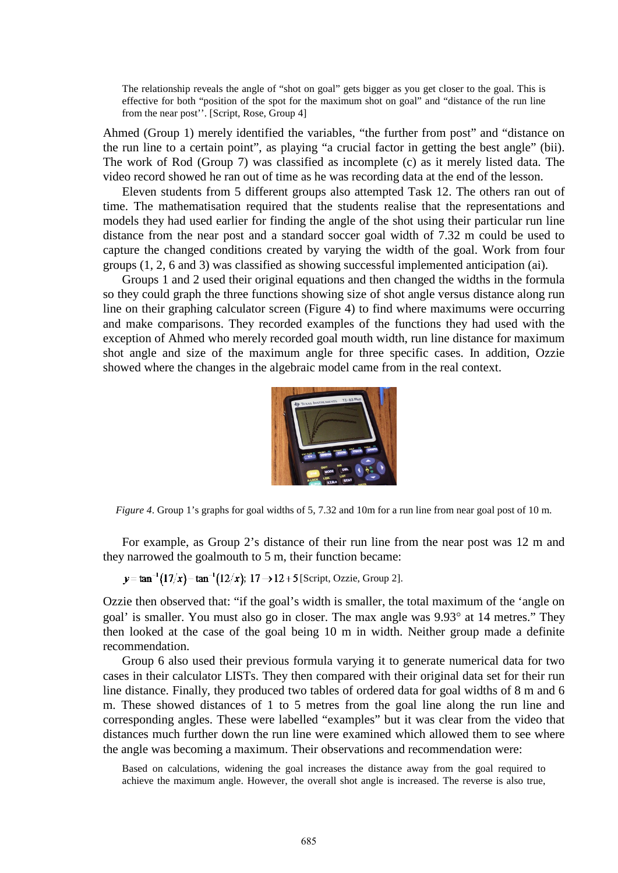The relationship reveals the angle of "shot on goal" gets bigger as you get closer to the goal. This is effective for both "position of the spot for the maximum shot on goal" and "distance of the run line from the near post''. [Script, Rose, Group 4]

Ahmed (Group 1) merely identified the variables, "the further from post" and "distance on the run line to a certain point", as playing "a crucial factor in getting the best angle" (bii). The work of Rod (Group 7) was classified as incomplete (c) as it merely listed data. The video record showed he ran out of time as he was recording data at the end of the lesson.

Eleven students from 5 different groups also attempted Task 12. The others ran out of time. The mathematisation required that the students realise that the representations and models they had used earlier for finding the angle of the shot using their particular run line distance from the near post and a standard soccer goal width of 7.32 m could be used to capture the changed conditions created by varying the width of the goal. Work from four groups (1, 2, 6 and 3) was classified as showing successful implemented anticipation (ai).

Groups 1 and 2 used their original equations and then changed the widths in the formula so they could graph the three functions showing size of shot angle versus distance along run line on their graphing calculator screen (Figure 4) to find where maximums were occurring and make comparisons. They recorded examples of the functions they had used with the exception of Ahmed who merely recorded goal mouth width, run line distance for maximum shot angle and size of the maximum angle for three specific cases. In addition, Ozzie showed where the changes in the algebraic model came from in the real context.



*Figure 4*. Group 1's graphs for goal widths of 5, 7.32 and 10m for a run line from near goal post of 10 m.

For example, as Group 2's distance of their run line from the near post was 12 m and they narrowed the goalmouth to 5 m, their function became:

 $y = \tan^{-1}(17/x) - \tan^{-1}(12/x);$  17  $\rightarrow$  12+5 [Script, Ozzie, Group 2].

Ozzie then observed that: "if the goal's width is smaller, the total maximum of the 'angle on goal' is smaller. You must also go in closer. The max angle was 9.93° at 14 metres." They then looked at the case of the goal being 10 m in width. Neither group made a definite recommendation.

Group 6 also used their previous formula varying it to generate numerical data for two cases in their calculator LISTs. They then compared with their original data set for their run line distance. Finally, they produced two tables of ordered data for goal widths of 8 m and 6 m. These showed distances of 1 to 5 metres from the goal line along the run line and corresponding angles. These were labelled "examples" but it was clear from the video that distances much further down the run line were examined which allowed them to see where the angle was becoming a maximum. Their observations and recommendation were:

Based on calculations, widening the goal increases the distance away from the goal required to achieve the maximum angle. However, the overall shot angle is increased. The reverse is also true,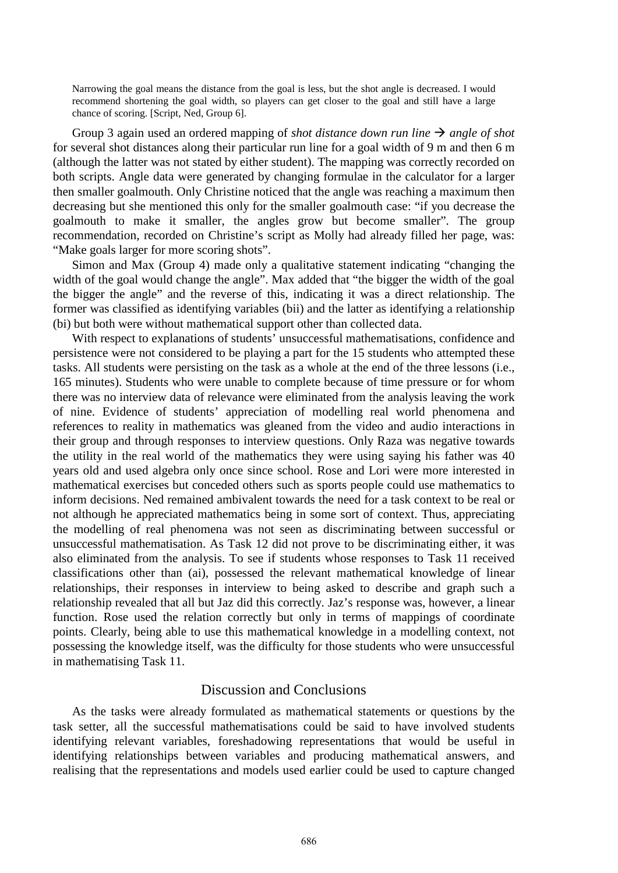Narrowing the goal means the distance from the goal is less, but the shot angle is decreased. I would recommend shortening the goal width, so players can get closer to the goal and still have a large chance of scoring. [Script, Ned, Group 6].

Group 3 again used an ordered mapping of *shot distance down run line*  $\rightarrow$  *angle of shot* for several shot distances along their particular run line for a goal width of 9 m and then 6 m (although the latter was not stated by either student). The mapping was correctly recorded on both scripts. Angle data were generated by changing formulae in the calculator for a larger then smaller goalmouth. Only Christine noticed that the angle was reaching a maximum then decreasing but she mentioned this only for the smaller goalmouth case: "if you decrease the goalmouth to make it smaller, the angles grow but become smaller". The group recommendation, recorded on Christine's script as Molly had already filled her page, was: "Make goals larger for more scoring shots".

Simon and Max (Group 4) made only a qualitative statement indicating "changing the width of the goal would change the angle". Max added that "the bigger the width of the goal the bigger the angle" and the reverse of this, indicating it was a direct relationship. The former was classified as identifying variables (bii) and the latter as identifying a relationship (bi) but both were without mathematical support other than collected data.

With respect to explanations of students' unsuccessful mathematisations, confidence and persistence were not considered to be playing a part for the 15 students who attempted these tasks. All students were persisting on the task as a whole at the end of the three lessons (i.e., 165 minutes). Students who were unable to complete because of time pressure or for whom there was no interview data of relevance were eliminated from the analysis leaving the work of nine. Evidence of students' appreciation of modelling real world phenomena and references to reality in mathematics was gleaned from the video and audio interactions in their group and through responses to interview questions. Only Raza was negative towards the utility in the real world of the mathematics they were using saying his father was 40 years old and used algebra only once since school. Rose and Lori were more interested in mathematical exercises but conceded others such as sports people could use mathematics to inform decisions. Ned remained ambivalent towards the need for a task context to be real or not although he appreciated mathematics being in some sort of context. Thus, appreciating the modelling of real phenomena was not seen as discriminating between successful or unsuccessful mathematisation. As Task 12 did not prove to be discriminating either, it was also eliminated from the analysis. To see if students whose responses to Task 11 received classifications other than (ai), possessed the relevant mathematical knowledge of linear relationships, their responses in interview to being asked to describe and graph such a relationship revealed that all but Jaz did this correctly. Jaz's response was, however, a linear function. Rose used the relation correctly but only in terms of mappings of coordinate points. Clearly, being able to use this mathematical knowledge in a modelling context, not possessing the knowledge itself, was the difficulty for those students who were unsuccessful in mathematising Task 11.

## Discussion and Conclusions

As the tasks were already formulated as mathematical statements or questions by the task setter, all the successful mathematisations could be said to have involved students identifying relevant variables, foreshadowing representations that would be useful in identifying relationships between variables and producing mathematical answers, and realising that the representations and models used earlier could be used to capture changed